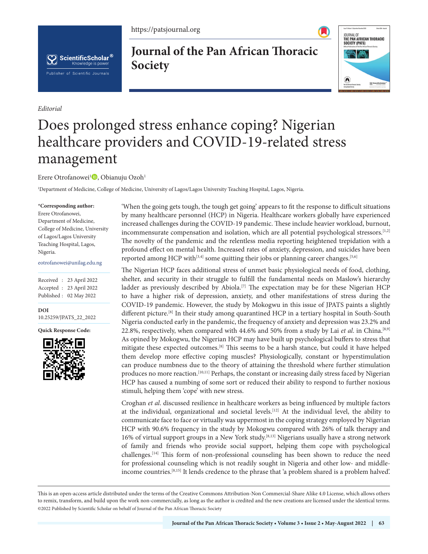https://patsjournal.org



*Editorial*

**Journal of the Pan African Thoracic Society**



## Does prolonged stress enhance coping? Nigerian healthcare providers and COVID-19-related stress management

Erere Otrofanowei<sup>1</sup><sup>D</sup>, Obianuju Ozoh<sup>1</sup>

1 Department of Medicine, College of Medicine, University of Lagos/Lagos University Teaching Hospital, Lagos, Nigeria.

## **\*Corresponding author:**

Erere Otrofanowei, Department of Medicine, College of Medicine, University of Lagos/Lagos University Teaching Hospital, Lagos, Nigeria.

eotrofanowei@unilag.edu.ng

Received : 23 April 2022 Accepted : 23 April 2022 Published : 02 May 2022

**[DOI](https://dx.doi.org/10.25259/JPATS_22_2022)** [10.25259/JPATS\\_22\\_2022](https://dx.doi.org/10.25259/JPATS_22_2022)

**Quick Response Code:**



'When the going gets tough, the tough get going' appears to fit the response to difficult situations by many healthcare personnel (HCP) in Nigeria. Healthcare workers globally have experienced increased challenges during the COVID-19 pandemic. These include heavier workload, burnout, incommensurate compensation and isolation, which are all potential psychological stressors.<sup>[1,2]</sup> The novelty of the pandemic and the relentless media reporting heightened trepidation with a profound effect on mental health. Increased rates of anxiety, depression, and suicides have been reported among HCP with<sup>[3,4]</sup> some quitting their jobs or planning career changes.<sup>[5,6]</sup>

The Nigerian HCP faces additional stress of unmet basic physiological needs of food, clothing, shelter, and security in their struggle to fulfill the fundamental needs on Maslow's hierarchy ladder as previously described by Abiola.<sup>[7]</sup> The expectation may be for these Nigerian HCP to have a higher risk of depression, anxiety, and other manifestations of stress during the COVID-19 pandemic. However, the study by Mokogwu in this issue of JPATS paints a slightly different picture.[8] In their study among quarantined HCP in a tertiary hospital in South-South Nigeria conducted early in the pandemic, the frequency of anxiety and depression was 23.2% and 22.8%, respectively, when compared with 44.6% and 50% from a study by Lai *et al*. in China.[8,9] As opined by Mokogwu, the Nigerian HCP may have built up psychological buffers to stress that mitigate these expected outcomes.[8] This seems to be a harsh stance, but could it have helped them develop more effective coping muscles? Physiologically, constant or hyperstimulation can produce numbness due to the theory of attaining the threshold where further stimulation produces no more reaction.<sup>[10,11]</sup> Perhaps, the constant or increasing daily stress faced by Nigerian HCP has caused a numbing of some sort or reduced their ability to respond to further noxious stimuli, helping them 'cope' with new stress.

Croghan *et al*. discussed resilience in healthcare workers as being influenced by multiple factors at the individual, organizational and societal levels.<sup>[12]</sup> At the individual level, the ability to communicate face to face or virtually was uppermost in the coping strategy employed by Nigerian HCP with 90.6% frequency in the study by Mokogwu compared with 26% of talk therapy and 16% of virtual support groups in a New York study.[8,13] Nigerians usually have a strong network of family and friends who provide social support, helping them cope with psychological challenges.[14] This form of non-professional counseling has been shown to reduce the need for professional counseling which is not readily sought in Nigeria and other low- and middleincome countries.[8,15] It lends credence to the phrase that 'a problem shared is a problem halved'.

This is an open-access article distributed under the terms of the Creative Commons Attribution-Non Commercial-Share Alike 4.0 License, which allows others to remix, transform, and build upon the work non-commercially, as long as the author is credited and the new creations are licensed under the identical terms. ©2022 Published by Scientific Scholar on behalf of Journal of the Pan African Thoracic Society